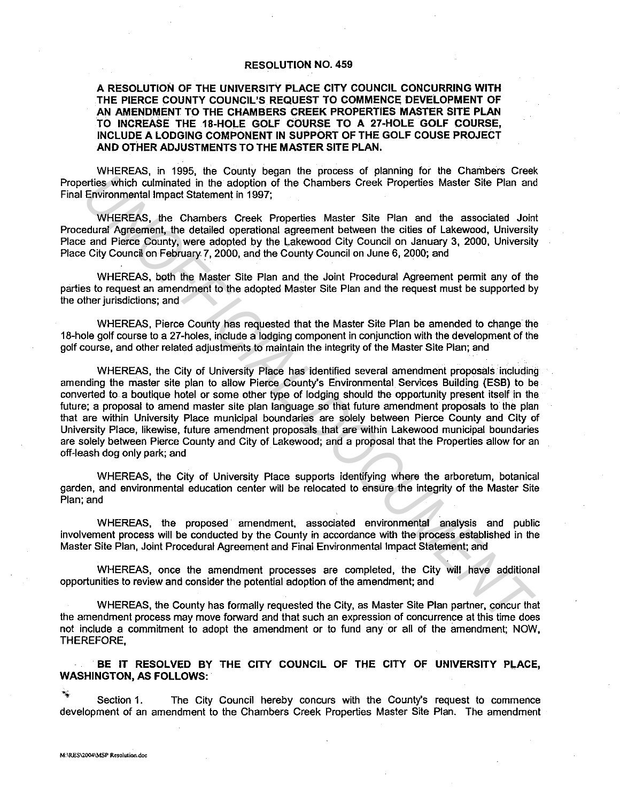## **RESOLUTION NO. 459**

## **A RESOLUTION OF THE UNIVERSITY PLACE CITY COUNCIL CONCURRING WITH THE PIERCE COUNTY COUNCIL'S REQUEST TO COMMENCE DEVELOPMENT OF AN AMENDMENT TO THE CHAMBERS CREEK PROPERTIES MASTER SITE PLAN TO INCREASE THE 18-HOLE GOLF COURSE TO A 27-HOLE GOLF COURSE, INCLUDE A LODGING COMPONENT IN SUPPORT OF THE GOLF COUSE PROJECT AND OTHER ADJUSTMENTS TO THE MASTER SITE PLAN.**

WHEREAS, in 1995, the County began the process of planning for the Chambers Creek Properties which culminated in the adoption of the Chambers Creek Properties Master Site Plan and Final Environmental Impact Statement in 1997;

WHEREAS, the Chambers Creek Properties Master Site Plan and the associated Joint Procedural Agreement, the detailed operational agreement between the cities of Lakewood, University Place and Pierce County, were adopted by the Lakewood City Council on January 3, 2000, University Place City Council on February. 7, 2000, and the County Council on June 6, 2000; and

WHEREAS, both the Master Site Plan and the Joint Procedural Agreement permit any of the parties to request an amendment to the adopted Master Site Plan and the request must be supported by the other jurisdictions; and

WHEREAS, Pierce County has requested that the Master Site Plan be amended to change the 18-hole golf course to a 27-holes, include a lodging component in conjunction with the development of the golf course, and other related adjustments to maintain the integrity of the Master Site Plan; and

WHEREAS, the City of University Place has identified several amendment proposals including amending the master site plan to allow Pierce County's Environmental Services Building (ESB) to be converted to a boutique hotel or some other type of lodging should the opportunity present itself in the future; a proposal to amend master site plan language so that future amendment proposals to the plan that are within University Place municipal boundaries are solely between Pierce County and City of University Place, likewise, future amendment proposals that are within Lakewood municipal boundaries are solely between Pierce County and City of Lakewood; and a proposal that the Properties allow for an off-leash dog only park; and eribes. which cultimated in the adoption of the Chambers Creek Properties Master Slie Plan and<br>
In the Chambers Creek Properties Master Slie Plan and<br>
INVIRIENCE, the Chambers Creek Properties Master Slie Plan and<br>
WHEREAS

WHEREAS, the City of University Place supports identifying where the arboretum, botanical garden, and environmental education center will be relocated to ensure the integrity of the Master Site Plan; and

WHEREAS, the proposed amendment, associated environmental analysis and public involvement process will be conducted by the County in accordance with the process established in the Master Site Plan, Joint Procedural Agreement and Final Environmental Impact Statement; and

WHEREAS, once the amendment processes are completed, the City will have additional opportunities to review and consider the potential adoption of the amendment; and

WHEREAS, the County has formally requested the City, as Master Site Plan partner, concur that the amendment process may move forward and that such an expression of concurrence at this time does not include a commitment to adopt the amendment or to fund any or all of the amendment; NOW, THEREFORE,

**BE IT RESOLVED BY THE CITY COUNCIL OF THE CITY OF UNIVERSITY PLACE, WASHINGTON, AS FOLLOWS:** 

 $\tilde{\mathcal{H}}_{\text{ex}}$ Section 1. The City Council hereby concurs with the County's request to commence development of an amendment to the Chambers Creek Properties Master Site Plan. The amendment